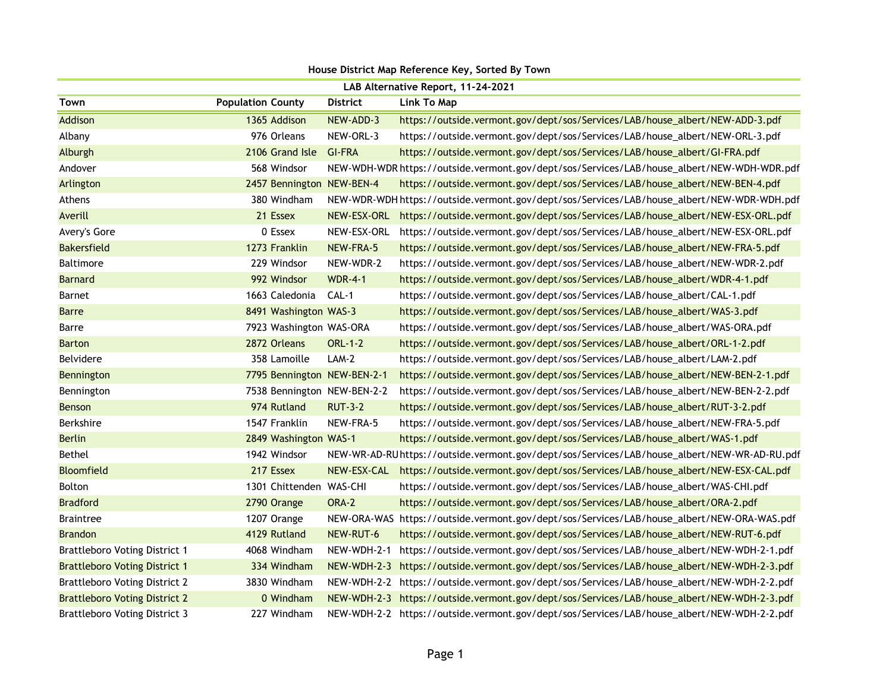| House District Map Reference Key, Sorted By Town |                             |                 |                                                                                              |  |
|--------------------------------------------------|-----------------------------|-----------------|----------------------------------------------------------------------------------------------|--|
| LAB Alternative Report, 11-24-2021               |                             |                 |                                                                                              |  |
| Town                                             | <b>Population County</b>    | <b>District</b> | Link To Map                                                                                  |  |
| Addison                                          | 1365 Addison                | NEW-ADD-3       | https://outside.vermont.gov/dept/sos/Services/LAB/house_albert/NEW-ADD-3.pdf                 |  |
| Albany                                           | 976 Orleans                 | NEW-ORL-3       | https://outside.vermont.gov/dept/sos/Services/LAB/house_albert/NEW-ORL-3.pdf                 |  |
| Alburgh                                          | 2106 Grand Isle             | <b>GI-FRA</b>   | https://outside.vermont.gov/dept/sos/Services/LAB/house_albert/GI-FRA.pdf                    |  |
| Andover                                          | 568 Windsor                 |                 | NEW-WDH-WDR https://outside.vermont.gov/dept/sos/Services/LAB/house_albert/NEW-WDH-WDR.pdf   |  |
| Arlington                                        | 2457 Bennington NEW-BEN-4   |                 | https://outside.vermont.gov/dept/sos/Services/LAB/house_albert/NEW-BEN-4.pdf                 |  |
| Athens                                           | 380 Windham                 |                 | NEW-WDR-WDH https://outside.vermont.gov/dept/sos/Services/LAB/house_albert/NEW-WDR-WDH.pdf   |  |
| Averill                                          | 21 Essex                    | NEW-ESX-ORL     | https://outside.vermont.gov/dept/sos/Services/LAB/house_albert/NEW-ESX-ORL.pdf               |  |
| Avery's Gore                                     | 0 Essex                     | NEW-ESX-ORL     | https://outside.vermont.gov/dept/sos/Services/LAB/house_albert/NEW-ESX-ORL.pdf               |  |
| <b>Bakersfield</b>                               | 1273 Franklin               | NEW-FRA-5       | https://outside.vermont.gov/dept/sos/Services/LAB/house_albert/NEW-FRA-5.pdf                 |  |
| <b>Baltimore</b>                                 | 229 Windsor                 | NEW-WDR-2       | https://outside.vermont.gov/dept/sos/Services/LAB/house_albert/NEW-WDR-2.pdf                 |  |
| <b>Barnard</b>                                   | 992 Windsor                 | <b>WDR-4-1</b>  | https://outside.vermont.gov/dept/sos/Services/LAB/house_albert/WDR-4-1.pdf                   |  |
| Barnet                                           | 1663 Caledonia CAL-1        |                 | https://outside.vermont.gov/dept/sos/Services/LAB/house_albert/CAL-1.pdf                     |  |
| <b>Barre</b>                                     | 8491 Washington WAS-3       |                 | https://outside.vermont.gov/dept/sos/Services/LAB/house_albert/WAS-3.pdf                     |  |
| Barre                                            | 7923 Washington WAS-ORA     |                 | https://outside.vermont.gov/dept/sos/Services/LAB/house_albert/WAS-ORA.pdf                   |  |
| <b>Barton</b>                                    | 2872 Orleans                | <b>ORL-1-2</b>  | https://outside.vermont.gov/dept/sos/Services/LAB/house_albert/ORL-1-2.pdf                   |  |
| Belvidere                                        | 358 Lamoille                | $LAM-2$         | https://outside.vermont.gov/dept/sos/Services/LAB/house_albert/LAM-2.pdf                     |  |
| Bennington                                       | 7795 Bennington NEW-BEN-2-1 |                 | https://outside.vermont.gov/dept/sos/Services/LAB/house_albert/NEW-BEN-2-1.pdf               |  |
| Bennington                                       | 7538 Bennington NEW-BEN-2-2 |                 | https://outside.vermont.gov/dept/sos/Services/LAB/house_albert/NEW-BEN-2-2.pdf               |  |
| <b>Benson</b>                                    | 974 Rutland                 | <b>RUT-3-2</b>  | https://outside.vermont.gov/dept/sos/Services/LAB/house_albert/RUT-3-2.pdf                   |  |
| <b>Berkshire</b>                                 | 1547 Franklin               | NEW-FRA-5       | https://outside.vermont.gov/dept/sos/Services/LAB/house_albert/NEW-FRA-5.pdf                 |  |
| <b>Berlin</b>                                    | 2849 Washington WAS-1       |                 | https://outside.vermont.gov/dept/sos/Services/LAB/house_albert/WAS-1.pdf                     |  |
| <b>Bethel</b>                                    | 1942 Windsor                |                 | NEW-WR-AD-RU https://outside.vermont.gov/dept/sos/Services/LAB/house_albert/NEW-WR-AD-RU.pdf |  |
| <b>Bloomfield</b>                                | 217 Essex                   |                 | NEW-ESX-CAL https://outside.vermont.gov/dept/sos/Services/LAB/house_albert/NEW-ESX-CAL.pdf   |  |
| <b>Bolton</b>                                    | 1301 Chittenden WAS-CHI     |                 | https://outside.vermont.gov/dept/sos/Services/LAB/house_albert/WAS-CHI.pdf                   |  |
| <b>Bradford</b>                                  | 2790 Orange                 | ORA-2           | https://outside.vermont.gov/dept/sos/Services/LAB/house_albert/ORA-2.pdf                     |  |
| <b>Braintree</b>                                 | 1207 Orange                 |                 | NEW-ORA-WAS https://outside.vermont.gov/dept/sos/Services/LAB/house_albert/NEW-ORA-WAS.pdf   |  |
| <b>Brandon</b>                                   | 4129 Rutland                | NEW-RUT-6       | https://outside.vermont.gov/dept/sos/Services/LAB/house_albert/NEW-RUT-6.pdf                 |  |
| <b>Brattleboro Voting District 1</b>             | 4068 Windham                |                 | NEW-WDH-2-1 https://outside.vermont.gov/dept/sos/Services/LAB/house_albert/NEW-WDH-2-1.pdf   |  |
| <b>Brattleboro Voting District 1</b>             | 334 Windham                 |                 | NEW-WDH-2-3 https://outside.vermont.gov/dept/sos/Services/LAB/house_albert/NEW-WDH-2-3.pdf   |  |
| <b>Brattleboro Voting District 2</b>             | 3830 Windham                |                 | NEW-WDH-2-2 https://outside.vermont.gov/dept/sos/Services/LAB/house_albert/NEW-WDH-2-2.pdf   |  |
| <b>Brattleboro Voting District 2</b>             | 0 Windham                   |                 | NEW-WDH-2-3 https://outside.vermont.gov/dept/sos/Services/LAB/house_albert/NEW-WDH-2-3.pdf   |  |
| <b>Brattleboro Voting District 3</b>             | 227 Windham                 |                 | NEW-WDH-2-2 https://outside.vermont.gov/dept/sos/Services/LAB/house_albert/NEW-WDH-2-2.pdf   |  |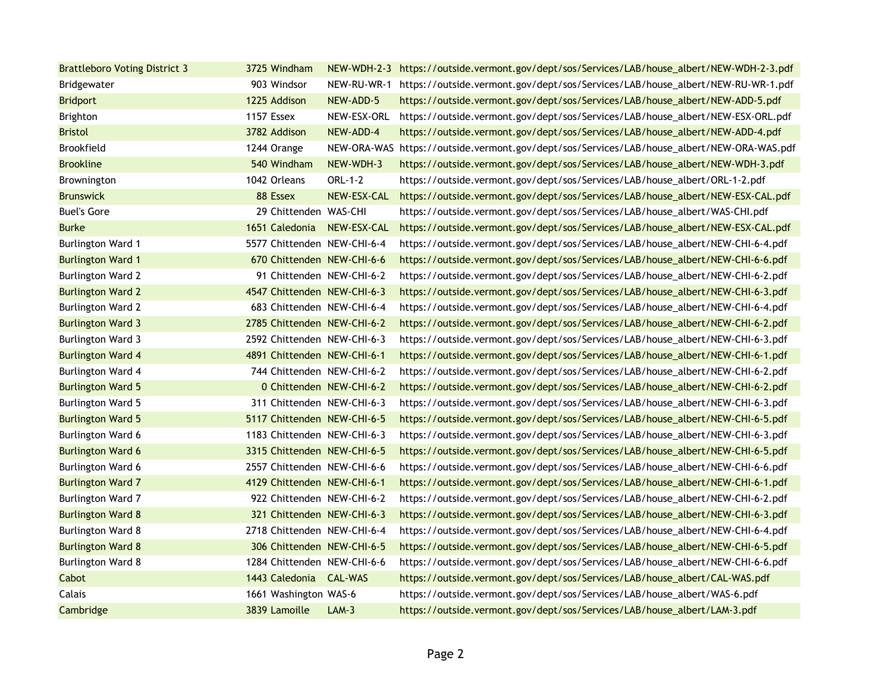| <b>Brattleboro Voting District 3</b> | 3725 Windham                |                          | NEW-WDH-2-3 https://outside.vermont.gov/dept/sos/Services/LAB/house_albert/NEW-WDH-2-3.pdf |
|--------------------------------------|-----------------------------|--------------------------|--------------------------------------------------------------------------------------------|
| Bridgewater                          | 903 Windsor                 | NEW-RU-WR-1              | https://outside.vermont.gov/dept/sos/Services/LAB/house_albert/NEW-RU-WR-1.pdf             |
| <b>Bridport</b>                      | 1225 Addison                | NEW-ADD-5                | https://outside.vermont.gov/dept/sos/Services/LAB/house_albert/NEW-ADD-5.pdf               |
| Brighton                             | 1157 Essex                  | NEW-ESX-ORL              | https://outside.vermont.gov/dept/sos/Services/LAB/house_albert/NEW-ESX-ORL.pdf             |
| <b>Bristol</b>                       | 3782 Addison                | NEW-ADD-4                | https://outside.vermont.gov/dept/sos/Services/LAB/house_albert/NEW-ADD-4.pdf               |
| Brookfield                           | 1244 Orange                 |                          | NEW-ORA-WAS https://outside.vermont.gov/dept/sos/Services/LAB/house_albert/NEW-ORA-WAS.pdf |
| <b>Brookline</b>                     | 540 Windham                 | NEW-WDH-3                | https://outside.vermont.gov/dept/sos/Services/LAB/house_albert/NEW-WDH-3.pdf               |
| Brownington                          | 1042 Orleans                | ORL-1-2                  | https://outside.vermont.gov/dept/sos/Services/LAB/house_albert/ORL-1-2.pdf                 |
| <b>Brunswick</b>                     | 88 Essex                    | NEW-ESX-CAL              | https://outside.vermont.gov/dept/sos/Services/LAB/house_albert/NEW-ESX-CAL.pdf             |
| <b>Buel's Gore</b>                   | 29 Chittenden WAS-CHI       |                          | https://outside.vermont.gov/dept/sos/Services/LAB/house_albert/WAS-CHI.pdf                 |
| <b>Burke</b>                         | 1651 Caledonia NEW-ESX-CAL  |                          | https://outside.vermont.gov/dept/sos/Services/LAB/house_albert/NEW-ESX-CAL.pdf             |
| <b>Burlington Ward 1</b>             | 5577 Chittenden NEW-CHI-6-4 |                          | https://outside.vermont.gov/dept/sos/Services/LAB/house_albert/NEW-CHI-6-4.pdf             |
| <b>Burlington Ward 1</b>             | 670 Chittenden NEW-CHI-6-6  |                          | https://outside.vermont.gov/dept/sos/Services/LAB/house_albert/NEW-CHI-6-6.pdf             |
| <b>Burlington Ward 2</b>             | 91 Chittenden NEW-CHI-6-2   |                          | https://outside.vermont.gov/dept/sos/Services/LAB/house_albert/NEW-CHI-6-2.pdf             |
| <b>Burlington Ward 2</b>             | 4547 Chittenden NEW-CHI-6-3 |                          | https://outside.vermont.gov/dept/sos/Services/LAB/house_albert/NEW-CHI-6-3.pdf             |
| <b>Burlington Ward 2</b>             | 683 Chittenden NEW-CHI-6-4  |                          | https://outside.vermont.gov/dept/sos/Services/LAB/house_albert/NEW-CHI-6-4.pdf             |
| <b>Burlington Ward 3</b>             | 2785 Chittenden NEW-CHI-6-2 |                          | https://outside.vermont.gov/dept/sos/Services/LAB/house_albert/NEW-CHI-6-2.pdf             |
| <b>Burlington Ward 3</b>             | 2592 Chittenden NEW-CHI-6-3 |                          | https://outside.vermont.gov/dept/sos/Services/LAB/house_albert/NEW-CHI-6-3.pdf             |
| <b>Burlington Ward 4</b>             | 4891 Chittenden NEW-CHI-6-1 |                          | https://outside.vermont.gov/dept/sos/Services/LAB/house_albert/NEW-CHI-6-1.pdf             |
| <b>Burlington Ward 4</b>             | 744 Chittenden NEW-CHI-6-2  |                          | https://outside.vermont.gov/dept/sos/Services/LAB/house_albert/NEW-CHI-6-2.pdf             |
| <b>Burlington Ward 5</b>             |                             | 0 Chittenden NEW-CHI-6-2 | https://outside.vermont.gov/dept/sos/Services/LAB/house_albert/NEW-CHI-6-2.pdf             |
| <b>Burlington Ward 5</b>             | 311 Chittenden NEW-CHI-6-3  |                          | https://outside.vermont.gov/dept/sos/Services/LAB/house_albert/NEW-CHI-6-3.pdf             |
| <b>Burlington Ward 5</b>             | 5117 Chittenden NEW-CHI-6-5 |                          | https://outside.vermont.gov/dept/sos/Services/LAB/house_albert/NEW-CHI-6-5.pdf             |
| Burlington Ward 6                    | 1183 Chittenden NEW-CHI-6-3 |                          | https://outside.vermont.gov/dept/sos/Services/LAB/house_albert/NEW-CHI-6-3.pdf             |
| <b>Burlington Ward 6</b>             | 3315 Chittenden NEW-CHI-6-5 |                          | https://outside.vermont.gov/dept/sos/Services/LAB/house_albert/NEW-CHI-6-5.pdf             |
| Burlington Ward 6                    | 2557 Chittenden NEW-CHI-6-6 |                          | https://outside.vermont.gov/dept/sos/Services/LAB/house_albert/NEW-CHI-6-6.pdf             |
| <b>Burlington Ward 7</b>             | 4129 Chittenden NEW-CHI-6-1 |                          | https://outside.vermont.gov/dept/sos/Services/LAB/house_albert/NEW-CHI-6-1.pdf             |
| Burlington Ward 7                    | 922 Chittenden NEW-CHI-6-2  |                          | https://outside.vermont.gov/dept/sos/Services/LAB/house_albert/NEW-CHI-6-2.pdf             |
| <b>Burlington Ward 8</b>             | 321 Chittenden NEW-CHI-6-3  |                          | https://outside.vermont.gov/dept/sos/Services/LAB/house_albert/NEW-CHI-6-3.pdf             |
| <b>Burlington Ward 8</b>             | 2718 Chittenden NEW-CHI-6-4 |                          | https://outside.vermont.gov/dept/sos/Services/LAB/house_albert/NEW-CHI-6-4.pdf             |
| <b>Burlington Ward 8</b>             | 306 Chittenden NEW-CHI-6-5  |                          | https://outside.vermont.gov/dept/sos/Services/LAB/house_albert/NEW-CHI-6-5.pdf             |
| <b>Burlington Ward 8</b>             | 1284 Chittenden NEW-CHI-6-6 |                          | https://outside.vermont.gov/dept/sos/Services/LAB/house_albert/NEW-CHI-6-6.pdf             |
| Cabot                                | 1443 Caledonia CAL-WAS      |                          | https://outside.vermont.gov/dept/sos/Services/LAB/house_albert/CAL-WAS.pdf                 |
| Calais                               | 1661 Washington WAS-6       |                          | https://outside.vermont.gov/dept/sos/Services/LAB/house_albert/WAS-6.pdf                   |
| Cambridge                            | 3839 Lamoille               | $LAM-3$                  | https://outside.vermont.gov/dept/sos/Services/LAB/house_albert/LAM-3.pdf                   |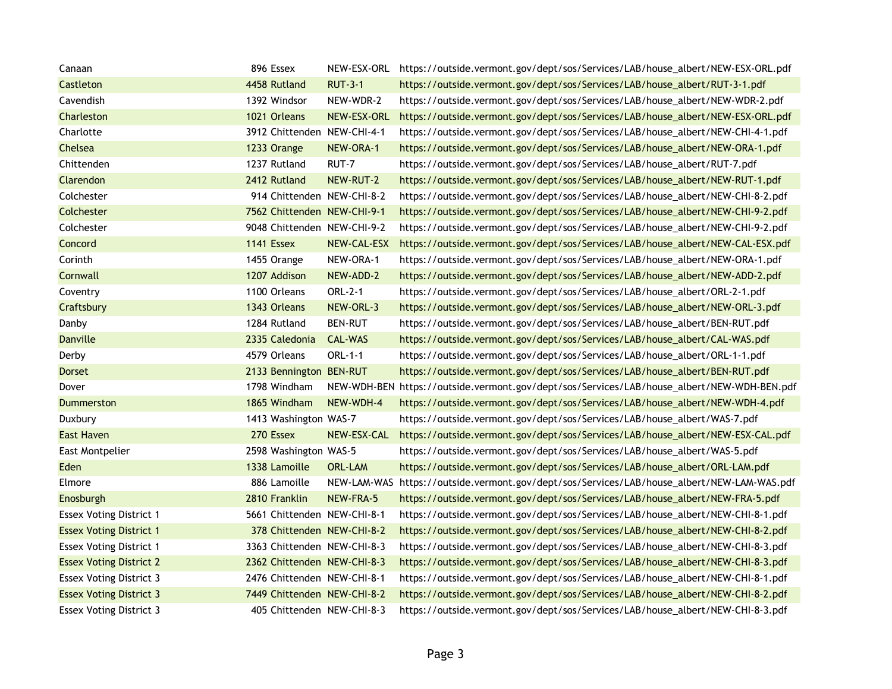| Canaan                         | 896 Essex                   |                | NEW-ESX-ORL https://outside.vermont.gov/dept/sos/Services/LAB/house_albert/NEW-ESX-ORL.pdf |
|--------------------------------|-----------------------------|----------------|--------------------------------------------------------------------------------------------|
| Castleton                      | 4458 Rutland                | <b>RUT-3-1</b> | https://outside.vermont.gov/dept/sos/Services/LAB/house_albert/RUT-3-1.pdf                 |
| Cavendish                      | 1392 Windsor                | NEW-WDR-2      | https://outside.vermont.gov/dept/sos/Services/LAB/house_albert/NEW-WDR-2.pdf               |
| Charleston                     | 1021 Orleans                | NEW-ESX-ORL    | https://outside.vermont.gov/dept/sos/Services/LAB/house_albert/NEW-ESX-ORL.pdf             |
| Charlotte                      | 3912 Chittenden NEW-CHI-4-1 |                | https://outside.vermont.gov/dept/sos/Services/LAB/house_albert/NEW-CHI-4-1.pdf             |
| Chelsea                        | 1233 Orange                 | NEW-ORA-1      | https://outside.vermont.gov/dept/sos/Services/LAB/house_albert/NEW-ORA-1.pdf               |
| Chittenden                     | 1237 Rutland                | RUT-7          | https://outside.vermont.gov/dept/sos/Services/LAB/house_albert/RUT-7.pdf                   |
| Clarendon                      | 2412 Rutland                | NEW-RUT-2      | https://outside.vermont.gov/dept/sos/Services/LAB/house_albert/NEW-RUT-1.pdf               |
| Colchester                     | 914 Chittenden NEW-CHI-8-2  |                | https://outside.vermont.gov/dept/sos/Services/LAB/house_albert/NEW-CHI-8-2.pdf             |
| Colchester                     | 7562 Chittenden NEW-CHI-9-1 |                | https://outside.vermont.gov/dept/sos/Services/LAB/house_albert/NEW-CHI-9-2.pdf             |
| Colchester                     | 9048 Chittenden NEW-CHI-9-2 |                | https://outside.vermont.gov/dept/sos/Services/LAB/house_albert/NEW-CHI-9-2.pdf             |
| Concord                        | 1141 Essex                  | NEW-CAL-ESX    | https://outside.vermont.gov/dept/sos/Services/LAB/house_albert/NEW-CAL-ESX.pdf             |
| Corinth                        | 1455 Orange                 | NEW-ORA-1      | https://outside.vermont.gov/dept/sos/Services/LAB/house_albert/NEW-ORA-1.pdf               |
| Cornwall                       | 1207 Addison                | NEW-ADD-2      | https://outside.vermont.gov/dept/sos/Services/LAB/house_albert/NEW-ADD-2.pdf               |
| Coventry                       | 1100 Orleans                | ORL-2-1        | https://outside.vermont.gov/dept/sos/Services/LAB/house_albert/ORL-2-1.pdf                 |
| Craftsbury                     | 1343 Orleans                | NEW-ORL-3      | https://outside.vermont.gov/dept/sos/Services/LAB/house_albert/NEW-ORL-3.pdf               |
| Danby                          | 1284 Rutland                | <b>BEN-RUT</b> | https://outside.vermont.gov/dept/sos/Services/LAB/house_albert/BEN-RUT.pdf                 |
| <b>Danville</b>                | 2335 Caledonia              | CAL-WAS        | https://outside.vermont.gov/dept/sos/Services/LAB/house_albert/CAL-WAS.pdf                 |
| Derby                          | 4579 Orleans                | ORL-1-1        | https://outside.vermont.gov/dept/sos/Services/LAB/house_albert/ORL-1-1.pdf                 |
| <b>Dorset</b>                  | 2133 Bennington BEN-RUT     |                | https://outside.vermont.gov/dept/sos/Services/LAB/house_albert/BEN-RUT.pdf                 |
| Dover                          | 1798 Windham                |                | NEW-WDH-BEN https://outside.vermont.gov/dept/sos/Services/LAB/house_albert/NEW-WDH-BEN.pdf |
| Dummerston                     | 1865 Windham                | NEW-WDH-4      | https://outside.vermont.gov/dept/sos/Services/LAB/house_albert/NEW-WDH-4.pdf               |
| Duxbury                        | 1413 Washington WAS-7       |                | https://outside.vermont.gov/dept/sos/Services/LAB/house_albert/WAS-7.pdf                   |
| <b>East Haven</b>              | 270 Essex                   | NEW-ESX-CAL    | https://outside.vermont.gov/dept/sos/Services/LAB/house_albert/NEW-ESX-CAL.pdf             |
| East Montpelier                | 2598 Washington WAS-5       |                | https://outside.vermont.gov/dept/sos/Services/LAB/house_albert/WAS-5.pdf                   |
| Eden                           | 1338 Lamoille               | <b>ORL-LAM</b> | https://outside.vermont.gov/dept/sos/Services/LAB/house_albert/ORL-LAM.pdf                 |
| Elmore                         | 886 Lamoille                |                | NEW-LAM-WAS https://outside.vermont.gov/dept/sos/Services/LAB/house_albert/NEW-LAM-WAS.pdf |
| Enosburgh                      | 2810 Franklin               | NEW-FRA-5      | https://outside.vermont.gov/dept/sos/Services/LAB/house_albert/NEW-FRA-5.pdf               |
| <b>Essex Voting District 1</b> | 5661 Chittenden NEW-CHI-8-1 |                | https://outside.vermont.gov/dept/sos/Services/LAB/house_albert/NEW-CHI-8-1.pdf             |
| <b>Essex Voting District 1</b> | 378 Chittenden NEW-CHI-8-2  |                | https://outside.vermont.gov/dept/sos/Services/LAB/house_albert/NEW-CHI-8-2.pdf             |
| <b>Essex Voting District 1</b> | 3363 Chittenden NEW-CHI-8-3 |                | https://outside.vermont.gov/dept/sos/Services/LAB/house_albert/NEW-CHI-8-3.pdf             |
| <b>Essex Voting District 2</b> | 2362 Chittenden NEW-CHI-8-3 |                | https://outside.vermont.gov/dept/sos/Services/LAB/house_albert/NEW-CHI-8-3.pdf             |
| <b>Essex Voting District 3</b> | 2476 Chittenden NEW-CHI-8-1 |                | https://outside.vermont.gov/dept/sos/Services/LAB/house_albert/NEW-CHI-8-1.pdf             |
| <b>Essex Voting District 3</b> | 7449 Chittenden NEW-CHI-8-2 |                | https://outside.vermont.gov/dept/sos/Services/LAB/house_albert/NEW-CHI-8-2.pdf             |
| <b>Essex Voting District 3</b> | 405 Chittenden NEW-CHI-8-3  |                | https://outside.vermont.gov/dept/sos/Services/LAB/house_albert/NEW-CHI-8-3.pdf             |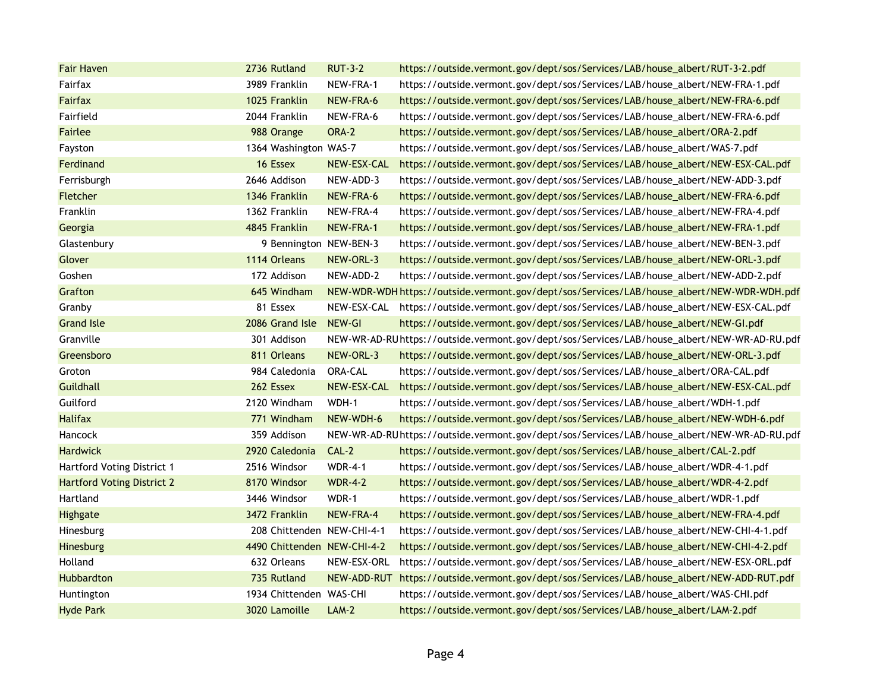| <b>Fair Haven</b>                 | 2736 Rutland                | <b>RUT-3-2</b> | https://outside.vermont.gov/dept/sos/Services/LAB/house_albert/RUT-3-2.pdf                   |
|-----------------------------------|-----------------------------|----------------|----------------------------------------------------------------------------------------------|
| Fairfax                           | 3989 Franklin               | NEW-FRA-1      | https://outside.vermont.gov/dept/sos/Services/LAB/house_albert/NEW-FRA-1.pdf                 |
| <b>Fairfax</b>                    | 1025 Franklin               | NEW-FRA-6      | https://outside.vermont.gov/dept/sos/Services/LAB/house_albert/NEW-FRA-6.pdf                 |
| Fairfield                         | 2044 Franklin               | NEW-FRA-6      | https://outside.vermont.gov/dept/sos/Services/LAB/house_albert/NEW-FRA-6.pdf                 |
| Fairlee                           | 988 Orange                  | ORA-2          | https://outside.vermont.gov/dept/sos/Services/LAB/house_albert/ORA-2.pdf                     |
| Fayston                           | 1364 Washington WAS-7       |                | https://outside.vermont.gov/dept/sos/Services/LAB/house_albert/WAS-7.pdf                     |
| Ferdinand                         | 16 Essex                    | NEW-ESX-CAL    | https://outside.vermont.gov/dept/sos/Services/LAB/house_albert/NEW-ESX-CAL.pdf               |
| Ferrisburgh                       | 2646 Addison                | NEW-ADD-3      | https://outside.vermont.gov/dept/sos/Services/LAB/house_albert/NEW-ADD-3.pdf                 |
| <b>Fletcher</b>                   | 1346 Franklin               | NEW-FRA-6      | https://outside.vermont.gov/dept/sos/Services/LAB/house_albert/NEW-FRA-6.pdf                 |
| <b>Franklin</b>                   | 1362 Franklin               | NEW-FRA-4      | https://outside.vermont.gov/dept/sos/Services/LAB/house_albert/NEW-FRA-4.pdf                 |
| Georgia                           | 4845 Franklin               | NEW-FRA-1      | https://outside.vermont.gov/dept/sos/Services/LAB/house_albert/NEW-FRA-1.pdf                 |
| Glastenbury                       | 9 Bennington NEW-BEN-3      |                | https://outside.vermont.gov/dept/sos/Services/LAB/house_albert/NEW-BEN-3.pdf                 |
| Glover                            | 1114 Orleans                | NEW-ORL-3      | https://outside.vermont.gov/dept/sos/Services/LAB/house_albert/NEW-ORL-3.pdf                 |
| Goshen                            | 172 Addison                 | NEW-ADD-2      | https://outside.vermont.gov/dept/sos/Services/LAB/house_albert/NEW-ADD-2.pdf                 |
| Grafton                           | 645 Windham                 |                | NEW-WDR-WDH https://outside.vermont.gov/dept/sos/Services/LAB/house_albert/NEW-WDR-WDH.pdf   |
| Granby                            | 81 Essex                    | NEW-ESX-CAL    | https://outside.vermont.gov/dept/sos/Services/LAB/house_albert/NEW-ESX-CAL.pdf               |
| <b>Grand Isle</b>                 | 2086 Grand Isle             | NEW-GI         | https://outside.vermont.gov/dept/sos/Services/LAB/house_albert/NEW-GI.pdf                    |
| Granville                         | 301 Addison                 |                | NEW-WR-AD-RU https://outside.vermont.gov/dept/sos/Services/LAB/house_albert/NEW-WR-AD-RU.pdf |
| Greensboro                        | 811 Orleans                 | NEW-ORL-3      | https://outside.vermont.gov/dept/sos/Services/LAB/house_albert/NEW-ORL-3.pdf                 |
| Groton                            | 984 Caledonia               | ORA-CAL        | https://outside.vermont.gov/dept/sos/Services/LAB/house_albert/ORA-CAL.pdf                   |
| Guildhall                         | 262 Essex                   | NEW-ESX-CAL    | https://outside.vermont.gov/dept/sos/Services/LAB/house_albert/NEW-ESX-CAL.pdf               |
| Guilford                          | 2120 Windham                | WDH-1          | https://outside.vermont.gov/dept/sos/Services/LAB/house_albert/WDH-1.pdf                     |
| <b>Halifax</b>                    | 771 Windham                 | NEW-WDH-6      | https://outside.vermont.gov/dept/sos/Services/LAB/house_albert/NEW-WDH-6.pdf                 |
| Hancock                           | 359 Addison                 |                | NEW-WR-AD-RU https://outside.vermont.gov/dept/sos/Services/LAB/house_albert/NEW-WR-AD-RU.pdf |
| <b>Hardwick</b>                   | 2920 Caledonia              | $CAL-2$        | https://outside.vermont.gov/dept/sos/Services/LAB/house_albert/CAL-2.pdf                     |
| Hartford Voting District 1        | 2516 Windsor                | <b>WDR-4-1</b> | https://outside.vermont.gov/dept/sos/Services/LAB/house_albert/WDR-4-1.pdf                   |
| <b>Hartford Voting District 2</b> | 8170 Windsor                | <b>WDR-4-2</b> | https://outside.vermont.gov/dept/sos/Services/LAB/house_albert/WDR-4-2.pdf                   |
| Hartland                          | 3446 Windsor                | WDR-1          | https://outside.vermont.gov/dept/sos/Services/LAB/house_albert/WDR-1.pdf                     |
| <b>Highgate</b>                   | 3472 Franklin               | NEW-FRA-4      | https://outside.vermont.gov/dept/sos/Services/LAB/house_albert/NEW-FRA-4.pdf                 |
| Hinesburg                         | 208 Chittenden NEW-CHI-4-1  |                | https://outside.vermont.gov/dept/sos/Services/LAB/house_albert/NEW-CHI-4-1.pdf               |
| Hinesburg                         | 4490 Chittenden NEW-CHI-4-2 |                | https://outside.vermont.gov/dept/sos/Services/LAB/house_albert/NEW-CHI-4-2.pdf               |
| Holland                           | 632 Orleans                 | NEW-ESX-ORL    | https://outside.vermont.gov/dept/sos/Services/LAB/house_albert/NEW-ESX-ORL.pdf               |
| Hubbardton                        | 735 Rutland                 |                | NEW-ADD-RUT https://outside.vermont.gov/dept/sos/Services/LAB/house_albert/NEW-ADD-RUT.pdf   |
| Huntington                        | 1934 Chittenden WAS-CHI     |                | https://outside.vermont.gov/dept/sos/Services/LAB/house_albert/WAS-CHI.pdf                   |
| <b>Hyde Park</b>                  | 3020 Lamoille               | $LAM-2$        | https://outside.vermont.gov/dept/sos/Services/LAB/house_albert/LAM-2.pdf                     |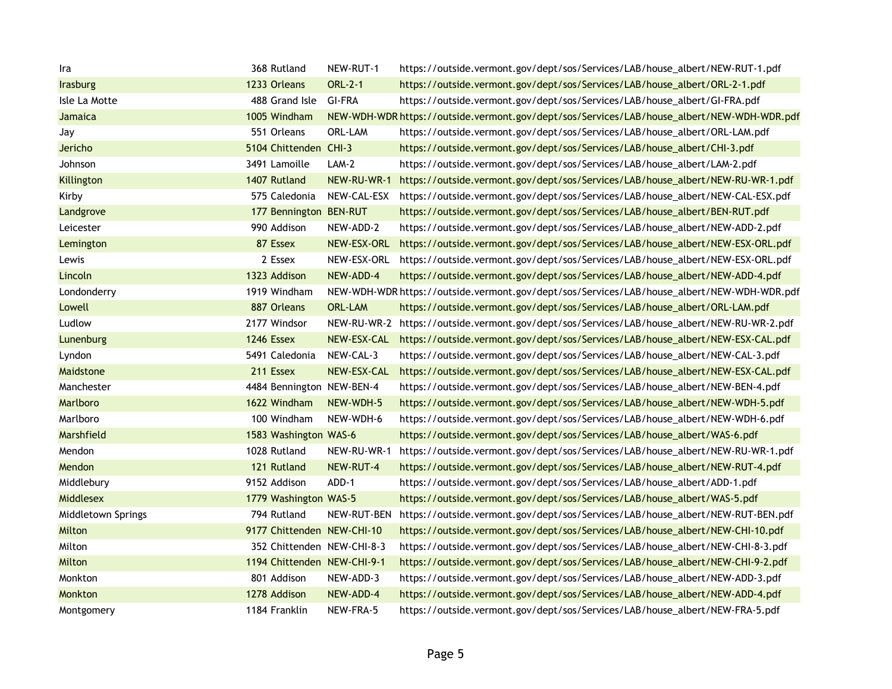| Ira                | 368 Rutland                 | NEW-RUT-1      | https://outside.vermont.gov/dept/sos/Services/LAB/house_albert/NEW-RUT-1.pdf               |
|--------------------|-----------------------------|----------------|--------------------------------------------------------------------------------------------|
| <b>Irasburg</b>    | 1233 Orleans                | <b>ORL-2-1</b> | https://outside.vermont.gov/dept/sos/Services/LAB/house_albert/ORL-2-1.pdf                 |
| Isle La Motte      | 488 Grand Isle              | <b>GI-FRA</b>  | https://outside.vermont.gov/dept/sos/Services/LAB/house_albert/GI-FRA.pdf                  |
| Jamaica            | 1005 Windham                |                | NEW-WDH-WDR https://outside.vermont.gov/dept/sos/Services/LAB/house_albert/NEW-WDH-WDR.pdf |
| Jay                | 551 Orleans                 | ORL-LAM        | https://outside.vermont.gov/dept/sos/Services/LAB/house_albert/ORL-LAM.pdf                 |
| Jericho            | 5104 Chittenden CHI-3       |                | https://outside.vermont.gov/dept/sos/Services/LAB/house_albert/CHI-3.pdf                   |
| Johnson            | 3491 Lamoille               | $LAM-2$        | https://outside.vermont.gov/dept/sos/Services/LAB/house_albert/LAM-2.pdf                   |
| <b>Killington</b>  | 1407 Rutland                |                | NEW-RU-WR-1 https://outside.vermont.gov/dept/sos/Services/LAB/house_albert/NEW-RU-WR-1.pdf |
| Kirby              | 575 Caledonia               |                | NEW-CAL-ESX https://outside.vermont.gov/dept/sos/Services/LAB/house_albert/NEW-CAL-ESX.pdf |
| Landgrove          | 177 Bennington BEN-RUT      |                | https://outside.vermont.gov/dept/sos/Services/LAB/house_albert/BEN-RUT.pdf                 |
| Leicester          | 990 Addison                 | NEW-ADD-2      | https://outside.vermont.gov/dept/sos/Services/LAB/house_albert/NEW-ADD-2.pdf               |
| Lemington          | 87 Essex                    | NEW-ESX-ORL    | https://outside.vermont.gov/dept/sos/Services/LAB/house_albert/NEW-ESX-ORL.pdf             |
| Lewis              | 2 Essex                     | NEW-ESX-ORL    | https://outside.vermont.gov/dept/sos/Services/LAB/house_albert/NEW-ESX-ORL.pdf             |
| Lincoln            | 1323 Addison                | NEW-ADD-4      | https://outside.vermont.gov/dept/sos/Services/LAB/house_albert/NEW-ADD-4.pdf               |
| Londonderry        | 1919 Windham                |                | NEW-WDH-WDR https://outside.vermont.gov/dept/sos/Services/LAB/house_albert/NEW-WDH-WDR.pdf |
| Lowell             | 887 Orleans                 | <b>ORL-LAM</b> | https://outside.vermont.gov/dept/sos/Services/LAB/house_albert/ORL-LAM.pdf                 |
| Ludlow             | 2177 Windsor                |                | NEW-RU-WR-2 https://outside.vermont.gov/dept/sos/Services/LAB/house_albert/NEW-RU-WR-2.pdf |
| Lunenburg          | 1246 Essex                  | NEW-ESX-CAL    | https://outside.vermont.gov/dept/sos/Services/LAB/house_albert/NEW-ESX-CAL.pdf             |
| Lyndon             | 5491 Caledonia              | NEW-CAL-3      | https://outside.vermont.gov/dept/sos/Services/LAB/house_albert/NEW-CAL-3.pdf               |
| Maidstone          | 211 Essex                   | NEW-ESX-CAL    | https://outside.vermont.gov/dept/sos/Services/LAB/house_albert/NEW-ESX-CAL.pdf             |
| Manchester         | 4484 Bennington NEW-BEN-4   |                | https://outside.vermont.gov/dept/sos/Services/LAB/house_albert/NEW-BEN-4.pdf               |
| Marlboro           | 1622 Windham                | NEW-WDH-5      | https://outside.vermont.gov/dept/sos/Services/LAB/house_albert/NEW-WDH-5.pdf               |
| Marlboro           | 100 Windham                 | NEW-WDH-6      | https://outside.vermont.gov/dept/sos/Services/LAB/house_albert/NEW-WDH-6.pdf               |
| Marshfield         | 1583 Washington WAS-6       |                | https://outside.vermont.gov/dept/sos/Services/LAB/house_albert/WAS-6.pdf                   |
| Mendon             | 1028 Rutland                | NEW-RU-WR-1    | https://outside.vermont.gov/dept/sos/Services/LAB/house_albert/NEW-RU-WR-1.pdf             |
| Mendon             | 121 Rutland                 | NEW-RUT-4      | https://outside.vermont.gov/dept/sos/Services/LAB/house_albert/NEW-RUT-4.pdf               |
| Middlebury         | 9152 Addison                | ADD-1          | https://outside.vermont.gov/dept/sos/Services/LAB/house_albert/ADD-1.pdf                   |
| <b>Middlesex</b>   | 1779 Washington WAS-5       |                | https://outside.vermont.gov/dept/sos/Services/LAB/house_albert/WAS-5.pdf                   |
| Middletown Springs | 794 Rutland                 |                | NEW-RUT-BEN https://outside.vermont.gov/dept/sos/Services/LAB/house_albert/NEW-RUT-BEN.pdf |
| Milton             | 9177 Chittenden NEW-CHI-10  |                | https://outside.vermont.gov/dept/sos/Services/LAB/house_albert/NEW-CHI-10.pdf              |
| Milton             | 352 Chittenden NEW-CHI-8-3  |                | https://outside.vermont.gov/dept/sos/Services/LAB/house_albert/NEW-CHI-8-3.pdf             |
| Milton             | 1194 Chittenden NEW-CHI-9-1 |                | https://outside.vermont.gov/dept/sos/Services/LAB/house_albert/NEW-CHI-9-2.pdf             |
| Monkton            | 801 Addison                 | NEW-ADD-3      | https://outside.vermont.gov/dept/sos/Services/LAB/house_albert/NEW-ADD-3.pdf               |
| Monkton            | 1278 Addison                | NEW-ADD-4      | https://outside.vermont.gov/dept/sos/Services/LAB/house_albert/NEW-ADD-4.pdf               |
| Montgomery         | 1184 Franklin               | NEW-FRA-5      | https://outside.vermont.gov/dept/sos/Services/LAB/house_albert/NEW-FRA-5.pdf               |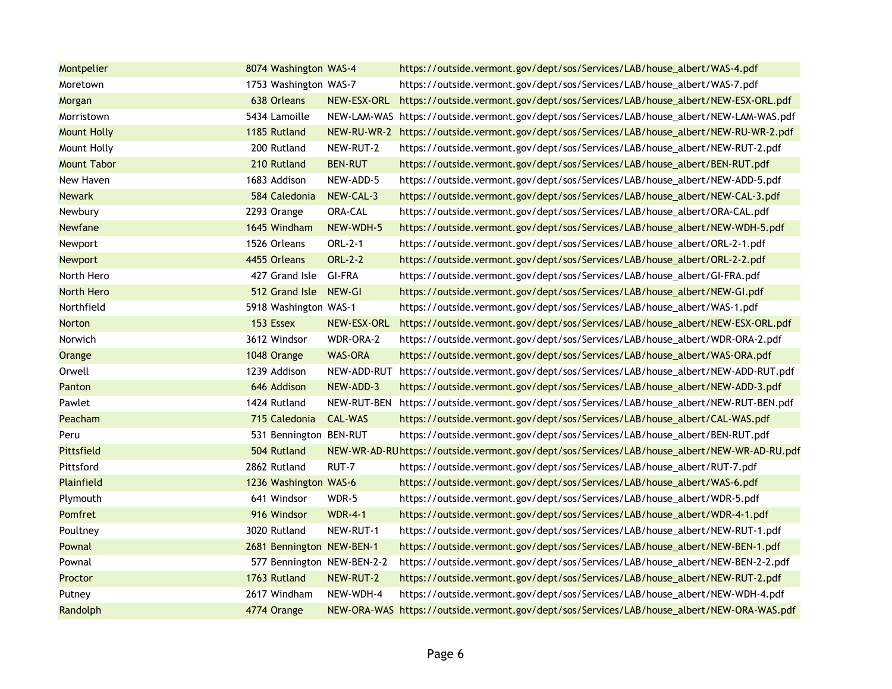| Montpelier         | 8074 Washington WAS-4      |                | https://outside.vermont.gov/dept/sos/Services/LAB/house_albert/WAS-4.pdf                     |
|--------------------|----------------------------|----------------|----------------------------------------------------------------------------------------------|
| Moretown           | 1753 Washington WAS-7      |                | https://outside.vermont.gov/dept/sos/Services/LAB/house_albert/WAS-7.pdf                     |
| Morgan             | 638 Orleans                | NEW-ESX-ORL    | https://outside.vermont.gov/dept/sos/Services/LAB/house_albert/NEW-ESX-ORL.pdf               |
| Morristown         | 5434 Lamoille              |                | NEW-LAM-WAS https://outside.vermont.gov/dept/sos/Services/LAB/house_albert/NEW-LAM-WAS.pdf   |
| <b>Mount Holly</b> | 1185 Rutland               |                | NEW-RU-WR-2 https://outside.vermont.gov/dept/sos/Services/LAB/house_albert/NEW-RU-WR-2.pdf   |
| Mount Holly        | 200 Rutland                | NEW-RUT-2      | https://outside.vermont.gov/dept/sos/Services/LAB/house_albert/NEW-RUT-2.pdf                 |
| <b>Mount Tabor</b> | 210 Rutland                | <b>BEN-RUT</b> | https://outside.vermont.gov/dept/sos/Services/LAB/house_albert/BEN-RUT.pdf                   |
| New Haven          | 1683 Addison               | NEW-ADD-5      | https://outside.vermont.gov/dept/sos/Services/LAB/house_albert/NEW-ADD-5.pdf                 |
| <b>Newark</b>      | 584 Caledonia              | NEW-CAL-3      | https://outside.vermont.gov/dept/sos/Services/LAB/house_albert/NEW-CAL-3.pdf                 |
| Newbury            | 2293 Orange                | <b>ORA-CAL</b> | https://outside.vermont.gov/dept/sos/Services/LAB/house_albert/ORA-CAL.pdf                   |
| Newfane            | 1645 Windham               | NEW-WDH-5      | https://outside.vermont.gov/dept/sos/Services/LAB/house_albert/NEW-WDH-5.pdf                 |
| Newport            | 1526 Orleans               | ORL-2-1        | https://outside.vermont.gov/dept/sos/Services/LAB/house_albert/ORL-2-1.pdf                   |
| <b>Newport</b>     | 4455 Orleans               | <b>ORL-2-2</b> | https://outside.vermont.gov/dept/sos/Services/LAB/house_albert/ORL-2-2.pdf                   |
| North Hero         | 427 Grand Isle GI-FRA      |                | https://outside.vermont.gov/dept/sos/Services/LAB/house_albert/GI-FRA.pdf                    |
| <b>North Hero</b>  | 512 Grand Isle NEW-GI      |                | https://outside.vermont.gov/dept/sos/Services/LAB/house_albert/NEW-GI.pdf                    |
| Northfield         | 5918 Washington WAS-1      |                | https://outside.vermont.gov/dept/sos/Services/LAB/house_albert/WAS-1.pdf                     |
| <b>Norton</b>      | 153 Essex                  | NEW-ESX-ORL    | https://outside.vermont.gov/dept/sos/Services/LAB/house_albert/NEW-ESX-ORL.pdf               |
| Norwich            | 3612 Windsor               | WDR-ORA-2      | https://outside.vermont.gov/dept/sos/Services/LAB/house_albert/WDR-ORA-2.pdf                 |
| Orange             | 1048 Orange                | <b>WAS-ORA</b> | https://outside.vermont.gov/dept/sos/Services/LAB/house_albert/WAS-ORA.pdf                   |
| Orwell             | 1239 Addison               |                | NEW-ADD-RUT https://outside.vermont.gov/dept/sos/Services/LAB/house_albert/NEW-ADD-RUT.pdf   |
| Panton             | 646 Addison                | NEW-ADD-3      | https://outside.vermont.gov/dept/sos/Services/LAB/house_albert/NEW-ADD-3.pdf                 |
| Pawlet             | 1424 Rutland               |                | NEW-RUT-BEN https://outside.vermont.gov/dept/sos/Services/LAB/house_albert/NEW-RUT-BEN.pdf   |
| Peacham            | 715 Caledonia              | <b>CAL-WAS</b> | https://outside.vermont.gov/dept/sos/Services/LAB/house_albert/CAL-WAS.pdf                   |
| Peru               | 531 Bennington BEN-RUT     |                | https://outside.vermont.gov/dept/sos/Services/LAB/house_albert/BEN-RUT.pdf                   |
| Pittsfield         | 504 Rutland                |                | NEW-WR-AD-RU https://outside.vermont.gov/dept/sos/Services/LAB/house_albert/NEW-WR-AD-RU.pdf |
| Pittsford          | 2862 Rutland               | RUT-7          | https://outside.vermont.gov/dept/sos/Services/LAB/house_albert/RUT-7.pdf                     |
| Plainfield         | 1236 Washington WAS-6      |                | https://outside.vermont.gov/dept/sos/Services/LAB/house_albert/WAS-6.pdf                     |
| Plymouth           | 641 Windsor                | WDR-5          | https://outside.vermont.gov/dept/sos/Services/LAB/house_albert/WDR-5.pdf                     |
| Pomfret            | 916 Windsor                | <b>WDR-4-1</b> | https://outside.vermont.gov/dept/sos/Services/LAB/house_albert/WDR-4-1.pdf                   |
| Poultney           | 3020 Rutland               | NEW-RUT-1      | https://outside.vermont.gov/dept/sos/Services/LAB/house_albert/NEW-RUT-1.pdf                 |
| Pownal             | 2681 Bennington NEW-BEN-1  |                | https://outside.vermont.gov/dept/sos/Services/LAB/house_albert/NEW-BEN-1.pdf                 |
| Pownal             | 577 Bennington NEW-BEN-2-2 |                | https://outside.vermont.gov/dept/sos/Services/LAB/house_albert/NEW-BEN-2-2.pdf               |
| Proctor            | 1763 Rutland               | NEW-RUT-2      | https://outside.vermont.gov/dept/sos/Services/LAB/house_albert/NEW-RUT-2.pdf                 |
| Putney             | 2617 Windham               | NEW-WDH-4      | https://outside.vermont.gov/dept/sos/Services/LAB/house_albert/NEW-WDH-4.pdf                 |
| Randolph           | 4774 Orange                |                | NEW-ORA-WAS https://outside.vermont.gov/dept/sos/Services/LAB/house_albert/NEW-ORA-WAS.pdf   |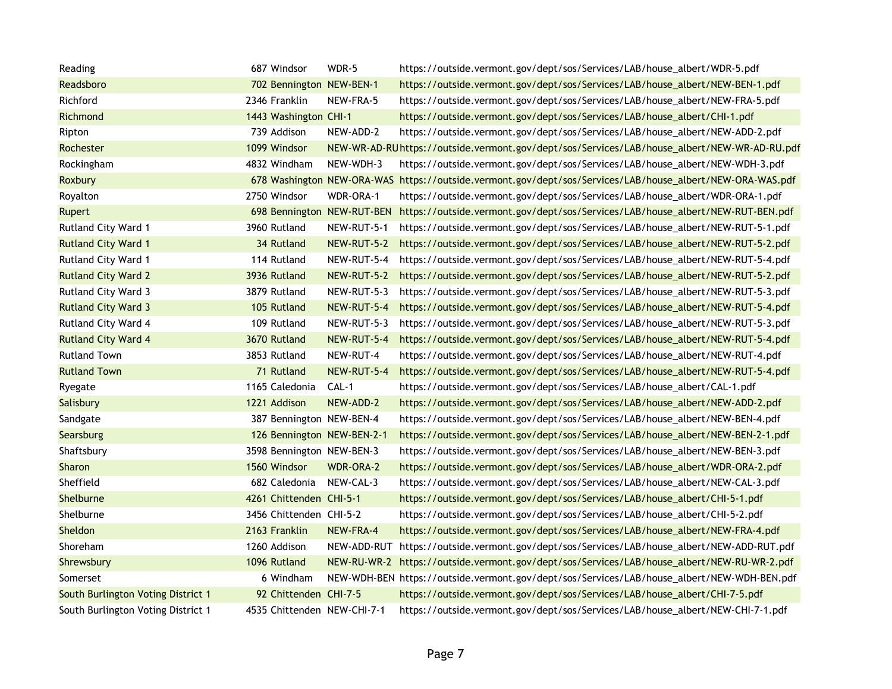| Reading                            | 687 Windsor                 | WDR-5            | https://outside.vermont.gov/dept/sos/Services/LAB/house_albert/WDR-5.pdf                                  |
|------------------------------------|-----------------------------|------------------|-----------------------------------------------------------------------------------------------------------|
| Readsboro                          | 702 Bennington NEW-BEN-1    |                  | https://outside.vermont.gov/dept/sos/Services/LAB/house_albert/NEW-BEN-1.pdf                              |
| Richford                           | 2346 Franklin               | NEW-FRA-5        | https://outside.vermont.gov/dept/sos/Services/LAB/house_albert/NEW-FRA-5.pdf                              |
| Richmond                           | 1443 Washington CHI-1       |                  | https://outside.vermont.gov/dept/sos/Services/LAB/house_albert/CHI-1.pdf                                  |
| Ripton                             | 739 Addison                 | NEW-ADD-2        | https://outside.vermont.gov/dept/sos/Services/LAB/house_albert/NEW-ADD-2.pdf                              |
| Rochester                          | 1099 Windsor                |                  | NEW-WR-AD-RU https://outside.vermont.gov/dept/sos/Services/LAB/house_albert/NEW-WR-AD-RU.pdf              |
| Rockingham                         | 4832 Windham                | NEW-WDH-3        | https://outside.vermont.gov/dept/sos/Services/LAB/house_albert/NEW-WDH-3.pdf                              |
| <b>Roxbury</b>                     |                             |                  | 678 Washington NEW-ORA-WAS https://outside.vermont.gov/dept/sos/Services/LAB/house_albert/NEW-ORA-WAS.pdf |
| Royalton                           | 2750 Windsor                | WDR-ORA-1        | https://outside.vermont.gov/dept/sos/Services/LAB/house_albert/WDR-ORA-1.pdf                              |
| Rupert                             | 698 Bennington NEW-RUT-BEN  |                  | https://outside.vermont.gov/dept/sos/Services/LAB/house_albert/NEW-RUT-BEN.pdf                            |
| Rutland City Ward 1                | 3960 Rutland                | NEW-RUT-5-1      | https://outside.vermont.gov/dept/sos/Services/LAB/house_albert/NEW-RUT-5-1.pdf                            |
| <b>Rutland City Ward 1</b>         | 34 Rutland                  | NEW-RUT-5-2      | https://outside.vermont.gov/dept/sos/Services/LAB/house_albert/NEW-RUT-5-2.pdf                            |
| Rutland City Ward 1                | 114 Rutland                 | NEW-RUT-5-4      | https://outside.vermont.gov/dept/sos/Services/LAB/house_albert/NEW-RUT-5-4.pdf                            |
| <b>Rutland City Ward 2</b>         | 3936 Rutland                | NEW-RUT-5-2      | https://outside.vermont.gov/dept/sos/Services/LAB/house_albert/NEW-RUT-5-2.pdf                            |
| <b>Rutland City Ward 3</b>         | 3879 Rutland                | NEW-RUT-5-3      | https://outside.vermont.gov/dept/sos/Services/LAB/house_albert/NEW-RUT-5-3.pdf                            |
| <b>Rutland City Ward 3</b>         | 105 Rutland                 | NEW-RUT-5-4      | https://outside.vermont.gov/dept/sos/Services/LAB/house_albert/NEW-RUT-5-4.pdf                            |
| <b>Rutland City Ward 4</b>         | 109 Rutland                 | NEW-RUT-5-3      | https://outside.vermont.gov/dept/sos/Services/LAB/house_albert/NEW-RUT-5-3.pdf                            |
| <b>Rutland City Ward 4</b>         | 3670 Rutland                | NEW-RUT-5-4      | https://outside.vermont.gov/dept/sos/Services/LAB/house_albert/NEW-RUT-5-4.pdf                            |
| <b>Rutland Town</b>                | 3853 Rutland                | NEW-RUT-4        | https://outside.vermont.gov/dept/sos/Services/LAB/house_albert/NEW-RUT-4.pdf                              |
| <b>Rutland Town</b>                | 71 Rutland                  | NEW-RUT-5-4      | https://outside.vermont.gov/dept/sos/Services/LAB/house_albert/NEW-RUT-5-4.pdf                            |
| Ryegate                            | 1165 Caledonia              | CAL-1            | https://outside.vermont.gov/dept/sos/Services/LAB/house_albert/CAL-1.pdf                                  |
| Salisbury                          | 1221 Addison                | NEW-ADD-2        | https://outside.vermont.gov/dept/sos/Services/LAB/house_albert/NEW-ADD-2.pdf                              |
| Sandgate                           | 387 Bennington NEW-BEN-4    |                  | https://outside.vermont.gov/dept/sos/Services/LAB/house_albert/NEW-BEN-4.pdf                              |
| Searsburg                          | 126 Bennington NEW-BEN-2-1  |                  | https://outside.vermont.gov/dept/sos/Services/LAB/house_albert/NEW-BEN-2-1.pdf                            |
| Shaftsbury                         | 3598 Bennington NEW-BEN-3   |                  | https://outside.vermont.gov/dept/sos/Services/LAB/house_albert/NEW-BEN-3.pdf                              |
| <b>Sharon</b>                      | 1560 Windsor                | <b>WDR-ORA-2</b> | https://outside.vermont.gov/dept/sos/Services/LAB/house_albert/WDR-ORA-2.pdf                              |
| Sheffield                          | 682 Caledonia               | NEW-CAL-3        | https://outside.vermont.gov/dept/sos/Services/LAB/house_albert/NEW-CAL-3.pdf                              |
| Shelburne                          | 4261 Chittenden CHI-5-1     |                  | https://outside.vermont.gov/dept/sos/Services/LAB/house_albert/CHI-5-1.pdf                                |
| Shelburne                          | 3456 Chittenden CHI-5-2     |                  | https://outside.vermont.gov/dept/sos/Services/LAB/house_albert/CHI-5-2.pdf                                |
| Sheldon                            | 2163 Franklin               | NEW-FRA-4        | https://outside.vermont.gov/dept/sos/Services/LAB/house_albert/NEW-FRA-4.pdf                              |
| Shoreham                           | 1260 Addison                |                  | NEW-ADD-RUT https://outside.vermont.gov/dept/sos/Services/LAB/house_albert/NEW-ADD-RUT.pdf                |
| Shrewsbury                         | 1096 Rutland                |                  | NEW-RU-WR-2 https://outside.vermont.gov/dept/sos/Services/LAB/house_albert/NEW-RU-WR-2.pdf                |
| Somerset                           | 6 Windham                   |                  | NEW-WDH-BEN https://outside.vermont.gov/dept/sos/Services/LAB/house_albert/NEW-WDH-BEN.pdf                |
| South Burlington Voting District 1 | 92 Chittenden CHI-7-5       |                  | https://outside.vermont.gov/dept/sos/Services/LAB/house_albert/CHI-7-5.pdf                                |
| South Burlington Voting District 1 | 4535 Chittenden NEW-CHI-7-1 |                  | https://outside.vermont.gov/dept/sos/Services/LAB/house_albert/NEW-CHI-7-1.pdf                            |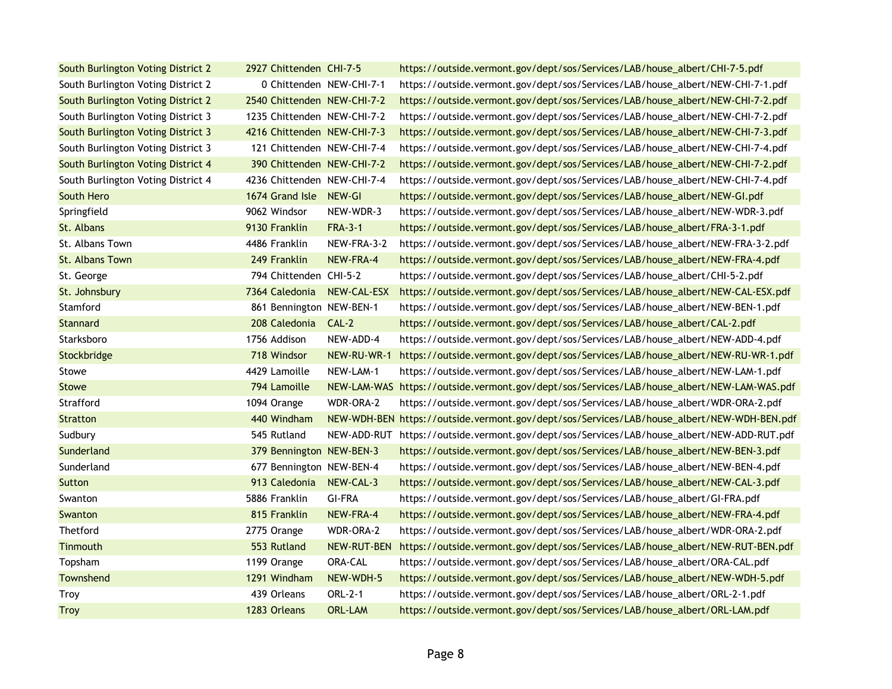| South Burlington Voting District 2 | 2927 Chittenden CHI-7-5     |                | https://outside.vermont.gov/dept/sos/Services/LAB/house_albert/CHI-7-5.pdf                 |
|------------------------------------|-----------------------------|----------------|--------------------------------------------------------------------------------------------|
| South Burlington Voting District 2 | 0 Chittenden NEW-CHI-7-1    |                | https://outside.vermont.gov/dept/sos/Services/LAB/house_albert/NEW-CHI-7-1.pdf             |
| South Burlington Voting District 2 | 2540 Chittenden NEW-CHI-7-2 |                | https://outside.vermont.gov/dept/sos/Services/LAB/house_albert/NEW-CHI-7-2.pdf             |
| South Burlington Voting District 3 | 1235 Chittenden NEW-CHI-7-2 |                | https://outside.vermont.gov/dept/sos/Services/LAB/house_albert/NEW-CHI-7-2.pdf             |
| South Burlington Voting District 3 | 4216 Chittenden NEW-CHI-7-3 |                | https://outside.vermont.gov/dept/sos/Services/LAB/house_albert/NEW-CHI-7-3.pdf             |
| South Burlington Voting District 3 | 121 Chittenden NEW-CHI-7-4  |                | https://outside.vermont.gov/dept/sos/Services/LAB/house_albert/NEW-CHI-7-4.pdf             |
| South Burlington Voting District 4 | 390 Chittenden NEW-CHI-7-2  |                | https://outside.vermont.gov/dept/sos/Services/LAB/house_albert/NEW-CHI-7-2.pdf             |
| South Burlington Voting District 4 | 4236 Chittenden NEW-CHI-7-4 |                | https://outside.vermont.gov/dept/sos/Services/LAB/house_albert/NEW-CHI-7-4.pdf             |
| South Hero                         | 1674 Grand Isle NEW-GI      |                | https://outside.vermont.gov/dept/sos/Services/LAB/house_albert/NEW-GI.pdf                  |
| Springfield                        | 9062 Windsor                | NEW-WDR-3      | https://outside.vermont.gov/dept/sos/Services/LAB/house_albert/NEW-WDR-3.pdf               |
| St. Albans                         | 9130 Franklin               | <b>FRA-3-1</b> | https://outside.vermont.gov/dept/sos/Services/LAB/house_albert/FRA-3-1.pdf                 |
| St. Albans Town                    | 4486 Franklin               | NEW-FRA-3-2    | https://outside.vermont.gov/dept/sos/Services/LAB/house_albert/NEW-FRA-3-2.pdf             |
| St. Albans Town                    | 249 Franklin                | NEW-FRA-4      | https://outside.vermont.gov/dept/sos/Services/LAB/house_albert/NEW-FRA-4.pdf               |
| St. George                         | 794 Chittenden CHI-5-2      |                | https://outside.vermont.gov/dept/sos/Services/LAB/house_albert/CHI-5-2.pdf                 |
| St. Johnsbury                      | 7364 Caledonia              | NEW-CAL-ESX    | https://outside.vermont.gov/dept/sos/Services/LAB/house_albert/NEW-CAL-ESX.pdf             |
| Stamford                           | 861 Bennington NEW-BEN-1    |                | https://outside.vermont.gov/dept/sos/Services/LAB/house_albert/NEW-BEN-1.pdf               |
| <b>Stannard</b>                    | 208 Caledonia CAL-2         |                | https://outside.vermont.gov/dept/sos/Services/LAB/house_albert/CAL-2.pdf                   |
| Starksboro                         | 1756 Addison                | NEW-ADD-4      | https://outside.vermont.gov/dept/sos/Services/LAB/house_albert/NEW-ADD-4.pdf               |
| Stockbridge                        | 718 Windsor                 | NEW-RU-WR-1    | https://outside.vermont.gov/dept/sos/Services/LAB/house_albert/NEW-RU-WR-1.pdf             |
| Stowe                              | 4429 Lamoille               | NEW-LAM-1      | https://outside.vermont.gov/dept/sos/Services/LAB/house_albert/NEW-LAM-1.pdf               |
| <b>Stowe</b>                       | 794 Lamoille                |                | NEW-LAM-WAS https://outside.vermont.gov/dept/sos/Services/LAB/house_albert/NEW-LAM-WAS.pdf |
| Strafford                          | 1094 Orange                 | WDR-ORA-2      | https://outside.vermont.gov/dept/sos/Services/LAB/house_albert/WDR-ORA-2.pdf               |
| <b>Stratton</b>                    | 440 Windham                 |                | NEW-WDH-BEN https://outside.vermont.gov/dept/sos/Services/LAB/house_albert/NEW-WDH-BEN.pdf |
| Sudbury                            | 545 Rutland                 |                | NEW-ADD-RUT https://outside.vermont.gov/dept/sos/Services/LAB/house_albert/NEW-ADD-RUT.pdf |
| Sunderland                         | 379 Bennington NEW-BEN-3    |                | https://outside.vermont.gov/dept/sos/Services/LAB/house_albert/NEW-BEN-3.pdf               |
| Sunderland                         | 677 Bennington NEW-BEN-4    |                | https://outside.vermont.gov/dept/sos/Services/LAB/house_albert/NEW-BEN-4.pdf               |
| Sutton                             | 913 Caledonia               | NEW-CAL-3      | https://outside.vermont.gov/dept/sos/Services/LAB/house_albert/NEW-CAL-3.pdf               |
| Swanton                            | 5886 Franklin               | <b>GI-FRA</b>  | https://outside.vermont.gov/dept/sos/Services/LAB/house_albert/GI-FRA.pdf                  |
| Swanton                            | 815 Franklin                | NEW-FRA-4      | https://outside.vermont.gov/dept/sos/Services/LAB/house_albert/NEW-FRA-4.pdf               |
| Thetford                           | 2775 Orange                 | WDR-ORA-2      | https://outside.vermont.gov/dept/sos/Services/LAB/house_albert/WDR-ORA-2.pdf               |
| Tinmouth                           | 553 Rutland                 | NEW-RUT-BEN    | https://outside.vermont.gov/dept/sos/Services/LAB/house_albert/NEW-RUT-BEN.pdf             |
| Topsham                            | 1199 Orange                 | ORA-CAL        | https://outside.vermont.gov/dept/sos/Services/LAB/house_albert/ORA-CAL.pdf                 |
| Townshend                          | 1291 Windham                | NEW-WDH-5      | https://outside.vermont.gov/dept/sos/Services/LAB/house_albert/NEW-WDH-5.pdf               |
| Troy                               | 439 Orleans                 | ORL-2-1        | https://outside.vermont.gov/dept/sos/Services/LAB/house_albert/ORL-2-1.pdf                 |
| <b>Troy</b>                        | 1283 Orleans                | <b>ORL-LAM</b> | https://outside.vermont.gov/dept/sos/Services/LAB/house_albert/ORL-LAM.pdf                 |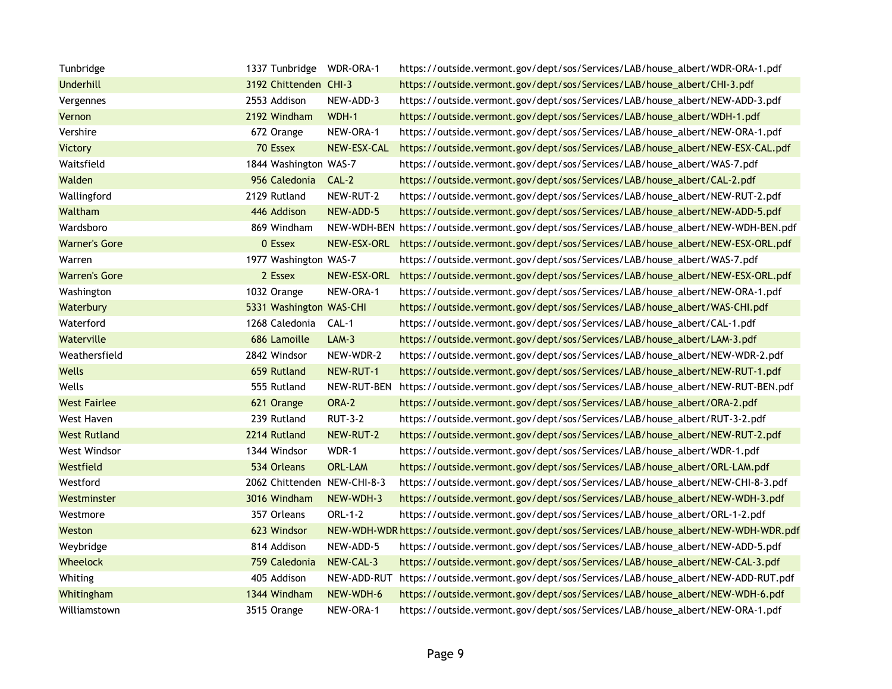| Tunbridge            | 1337 Tunbridge WDR-ORA-1    |                | https://outside.vermont.gov/dept/sos/Services/LAB/house_albert/WDR-ORA-1.pdf               |
|----------------------|-----------------------------|----------------|--------------------------------------------------------------------------------------------|
| <b>Underhill</b>     | 3192 Chittenden CHI-3       |                | https://outside.vermont.gov/dept/sos/Services/LAB/house_albert/CHI-3.pdf                   |
| Vergennes            | 2553 Addison                | NEW-ADD-3      | https://outside.vermont.gov/dept/sos/Services/LAB/house_albert/NEW-ADD-3.pdf               |
| Vernon               | 2192 Windham                | WDH-1          | https://outside.vermont.gov/dept/sos/Services/LAB/house_albert/WDH-1.pdf                   |
| Vershire             | 672 Orange                  | NEW-ORA-1      | https://outside.vermont.gov/dept/sos/Services/LAB/house_albert/NEW-ORA-1.pdf               |
| <b>Victory</b>       | 70 Essex                    | NEW-ESX-CAL    | https://outside.vermont.gov/dept/sos/Services/LAB/house_albert/NEW-ESX-CAL.pdf             |
| Waitsfield           | 1844 Washington WAS-7       |                | https://outside.vermont.gov/dept/sos/Services/LAB/house_albert/WAS-7.pdf                   |
| Walden               | 956 Caledonia CAL-2         |                | https://outside.vermont.gov/dept/sos/Services/LAB/house_albert/CAL-2.pdf                   |
| Wallingford          | 2129 Rutland                | NEW-RUT-2      | https://outside.vermont.gov/dept/sos/Services/LAB/house_albert/NEW-RUT-2.pdf               |
| Waltham              | 446 Addison                 | NEW-ADD-5      | https://outside.vermont.gov/dept/sos/Services/LAB/house_albert/NEW-ADD-5.pdf               |
| Wardsboro            | 869 Windham                 |                | NEW-WDH-BEN https://outside.vermont.gov/dept/sos/Services/LAB/house_albert/NEW-WDH-BEN.pdf |
| <b>Warner's Gore</b> | 0 Essex                     | NEW-ESX-ORL    | https://outside.vermont.gov/dept/sos/Services/LAB/house_albert/NEW-ESX-ORL.pdf             |
| Warren               | 1977 Washington WAS-7       |                | https://outside.vermont.gov/dept/sos/Services/LAB/house_albert/WAS-7.pdf                   |
| <b>Warren's Gore</b> | 2 Essex                     | NEW-ESX-ORL    | https://outside.vermont.gov/dept/sos/Services/LAB/house_albert/NEW-ESX-ORL.pdf             |
| Washington           | 1032 Orange                 | NEW-ORA-1      | https://outside.vermont.gov/dept/sos/Services/LAB/house_albert/NEW-ORA-1.pdf               |
| Waterbury            | 5331 Washington WAS-CHI     |                | https://outside.vermont.gov/dept/sos/Services/LAB/house_albert/WAS-CHI.pdf                 |
| Waterford            | 1268 Caledonia              | CAL-1          | https://outside.vermont.gov/dept/sos/Services/LAB/house_albert/CAL-1.pdf                   |
| Waterville           | 686 Lamoille                | $LAM-3$        | https://outside.vermont.gov/dept/sos/Services/LAB/house_albert/LAM-3.pdf                   |
| Weathersfield        | 2842 Windsor                | NEW-WDR-2      | https://outside.vermont.gov/dept/sos/Services/LAB/house_albert/NEW-WDR-2.pdf               |
| Wells                | 659 Rutland                 | NEW-RUT-1      | https://outside.vermont.gov/dept/sos/Services/LAB/house_albert/NEW-RUT-1.pdf               |
| Wells                | 555 Rutland                 | NEW-RUT-BEN    | https://outside.vermont.gov/dept/sos/Services/LAB/house_albert/NEW-RUT-BEN.pdf             |
| <b>West Fairlee</b>  | 621 Orange                  | ORA-2          | https://outside.vermont.gov/dept/sos/Services/LAB/house_albert/ORA-2.pdf                   |
| West Haven           | 239 Rutland                 | <b>RUT-3-2</b> | https://outside.vermont.gov/dept/sos/Services/LAB/house_albert/RUT-3-2.pdf                 |
| <b>West Rutland</b>  | 2214 Rutland                | NEW-RUT-2      | https://outside.vermont.gov/dept/sos/Services/LAB/house_albert/NEW-RUT-2.pdf               |
| West Windsor         | 1344 Windsor                | WDR-1          | https://outside.vermont.gov/dept/sos/Services/LAB/house_albert/WDR-1.pdf                   |
| Westfield            | 534 Orleans                 | <b>ORL-LAM</b> | https://outside.vermont.gov/dept/sos/Services/LAB/house_albert/ORL-LAM.pdf                 |
| Westford             | 2062 Chittenden NEW-CHI-8-3 |                | https://outside.vermont.gov/dept/sos/Services/LAB/house_albert/NEW-CHI-8-3.pdf             |
| Westminster          | 3016 Windham                | NEW-WDH-3      | https://outside.vermont.gov/dept/sos/Services/LAB/house_albert/NEW-WDH-3.pdf               |
| Westmore             | 357 Orleans                 | ORL-1-2        | https://outside.vermont.gov/dept/sos/Services/LAB/house_albert/ORL-1-2.pdf                 |
| Weston               | 623 Windsor                 |                | NEW-WDH-WDR https://outside.vermont.gov/dept/sos/Services/LAB/house_albert/NEW-WDH-WDR.pdf |
| Weybridge            | 814 Addison                 | NEW-ADD-5      | https://outside.vermont.gov/dept/sos/Services/LAB/house_albert/NEW-ADD-5.pdf               |
| Wheelock             | 759 Caledonia               | NEW-CAL-3      | https://outside.vermont.gov/dept/sos/Services/LAB/house_albert/NEW-CAL-3.pdf               |
| Whiting              | 405 Addison                 | NEW-ADD-RUT    | https://outside.vermont.gov/dept/sos/Services/LAB/house_albert/NEW-ADD-RUT.pdf             |
| Whitingham           | 1344 Windham                | NEW-WDH-6      | https://outside.vermont.gov/dept/sos/Services/LAB/house_albert/NEW-WDH-6.pdf               |
| Williamstown         | 3515 Orange                 | NEW-ORA-1      | https://outside.vermont.gov/dept/sos/Services/LAB/house_albert/NEW-ORA-1.pdf               |